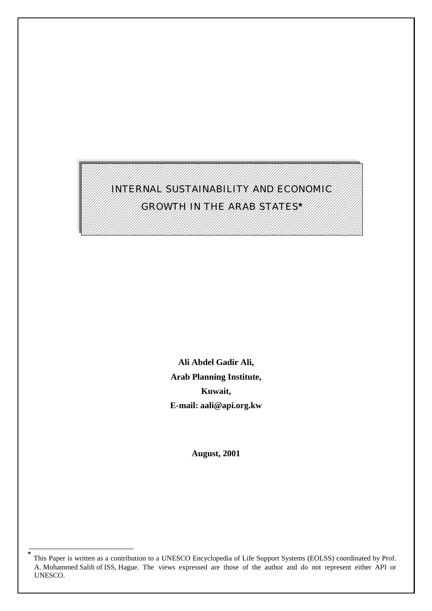# INTERNAL SUSTAINABILITY AND ECONOMIC GROWTH IN THE ARAB STATES**\***

**Ali Abdel Gadir Ali, Arab Planning Institute, Kuwait, E-mail: aali@api.org.kw** 

**August, 2001** 

**<sup>\*</sup>** This Paper is written as a contribution to a UNESCO Encyclopedia of Life Support Systems (EOLSS) coordinated by Prof. A. Mohammed Salih of ISS, Hague. The views expressed are those of the author and do not represent either API or UNESCO.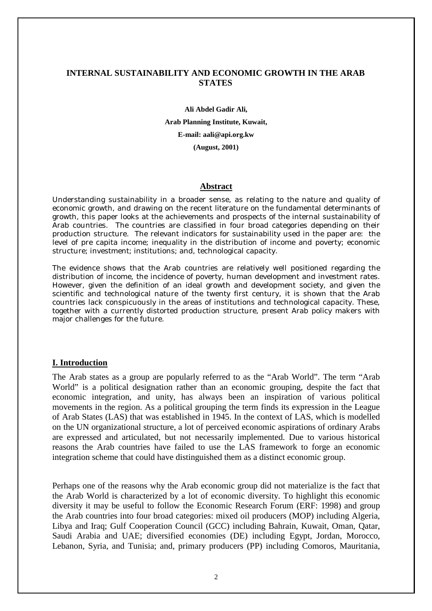#### **INTERNAL SUSTAINABILITY AND ECONOMIC GROWTH IN THE ARAB STATES**

**Ali Abdel Gadir Ali, Arab Planning Institute, Kuwait, E-mail: aali@api.org.kw (August, 2001)** 

#### **Abstract**

Understanding sustainability in a broader sense, as relating to the nature and quality of economic growth, and drawing on the recent literature on the fundamental determinants of growth, this paper looks at the achievements and prospects of the internal sustainability of Arab countries. The countries are classified in four broad categories depending on their production structure. The relevant indicators for sustainability used in the paper are: the level of pre capita income; inequality in the distribution of income and poverty; economic structure; investment; institutions; and, technological capacity.

The evidence shows that the Arab countries are relatively well positioned regarding the distribution of income, the incidence of poverty, human development and investment rates. However, given the definition of an ideal growth and development society, and given the scientific and technological nature of the twenty first century, it is shown that the Arab countries lack conspicuously in the areas of institutions and technological capacity. These, together with a currently distorted production structure, present Arab policy makers with major challenges for the future.

#### **I. Introduction**

The Arab states as a group are popularly referred to as the "Arab World". The term "Arab World" is a political designation rather than an economic grouping, despite the fact that economic integration, and unity, has always been an inspiration of various political movements in the region. As a political grouping the term finds its expression in the League of Arab States (LAS) that was established in 1945. In the context of LAS, which is modelled on the UN organizational structure, a lot of perceived economic aspirations of ordinary Arabs are expressed and articulated, but not necessarily implemented. Due to various historical reasons the Arab countries have failed to use the LAS framework to forge an economic integration scheme that could have distinguished them as a distinct economic group.

Perhaps one of the reasons why the Arab economic group did not materialize is the fact that the Arab World is characterized by a lot of economic diversity. To highlight this economic diversity it may be useful to follow the Economic Research Forum (ERF: 1998) and group the Arab countries into four broad categories: mixed oil producers (MOP) including Algeria, Libya and Iraq; Gulf Cooperation Council (GCC) including Bahrain, Kuwait, Oman, Qatar, Saudi Arabia and UAE; diversified economies (DE) including Egypt, Jordan, Morocco, Lebanon, Syria, and Tunisia; and, primary producers (PP) including Comoros, Mauritania,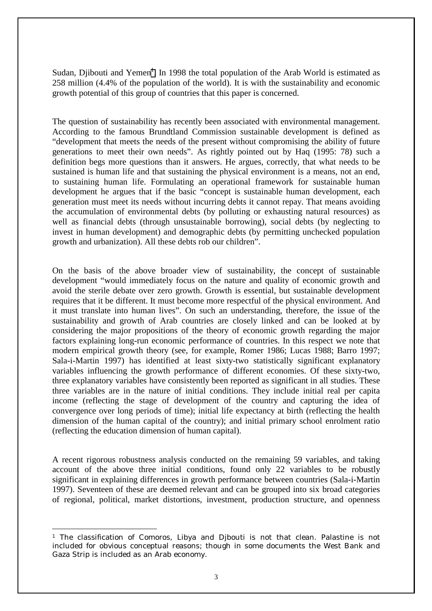Sudan, Djibouti and Yemen<sup>1</sup>. In 1998 the total population of the Arab World is estimated as 258 million (4.4% of the population of the world). It is with the sustainability and economic growth potential of this group of countries that this paper is concerned.

The question of sustainability has recently been associated with environmental management. According to the famous Brundtland Commission sustainable development is defined as "development that meets the needs of the present without compromising the ability of future generations to meet their own needs". As rightly pointed out by Haq (1995: 78) such a definition begs more questions than it answers. He argues, correctly, that what needs to be sustained is human life and that sustaining the physical environment is a means, not an end, to sustaining human life. Formulating an operational framework for sustainable human development he argues that if the basic "concept is sustainable human development, each generation must meet its needs without incurring debts it cannot repay. That means avoiding the accumulation of environmental debts (by polluting or exhausting natural resources) as well as financial debts (through unsustainable borrowing), social debts (by neglecting to invest in human development) and demographic debts (by permitting unchecked population growth and urbanization). All these debts rob our children".

On the basis of the above broader view of sustainability, the concept of sustainable development "would immediately focus on the nature and quality of economic growth and avoid the sterile debate over zero growth. Growth is essential, but sustainable development requires that it be different. It must become more respectful of the physical environment. And it must translate into human lives". On such an understanding, therefore, the issue of the sustainability and growth of Arab countries are closely linked and can be looked at by considering the major propositions of the theory of economic growth regarding the major factors explaining long-run economic performance of countries. In this respect we note that modern empirical growth theory (see, for example, Romer 1986; Lucas 1988; Barro 1997; Sala-i-Martin 1997) has identified at least sixty-two statistically significant explanatory variables influencing the growth performance of different economies. Of these sixty-two, three explanatory variables have consistently been reported as significant in all studies. These three variables are in the nature of initial conditions. They include initial real per capita income (reflecting the stage of development of the country and capturing the idea of convergence over long periods of time); initial life expectancy at birth (reflecting the health dimension of the human capital of the country); and initial primary school enrolment ratio (reflecting the education dimension of human capital).

A recent rigorous robustness analysis conducted on the remaining 59 variables, and taking account of the above three initial conditions, found only 22 variables to be robustly significant in explaining differences in growth performance between countries (Sala-i-Martin 1997). Seventeen of these are deemed relevant and can be grouped into six broad categories of regional, political, market distortions, investment, production structure, and openness

 $\overline{a}$ 

<sup>1</sup> The classification of Comoros, Libya and Djbouti is not that clean. Palastine is not included for obvious conceptual reasons; though in some documents the West Bank and Gaza Strip is included as an Arab economy.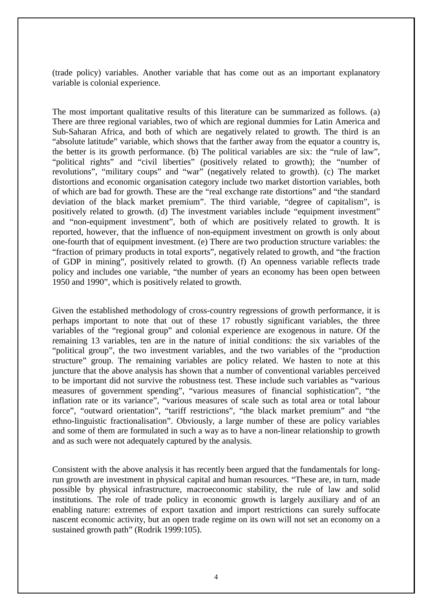(trade policy) variables. Another variable that has come out as an important explanatory variable is colonial experience.

The most important qualitative results of this literature can be summarized as follows. (a) There are three regional variables, two of which are regional dummies for Latin America and Sub-Saharan Africa, and both of which are negatively related to growth. The third is an "absolute latitude" variable, which shows that the farther away from the equator a country is, the better is its growth performance. (b) The political variables are six: the "rule of law", "political rights" and "civil liberties" (positively related to growth); the "number of revolutions", "military coups" and "war" (negatively related to growth). (c) The market distortions and economic organisation category include two market distortion variables, both of which are bad for growth. These are the "real exchange rate distortions" and "the standard deviation of the black market premium". The third variable, "degree of capitalism", is positively related to growth. (d) The investment variables include "equipment investment" and "non-equipment investment", both of which are positively related to growth. It is reported, however, that the influence of non-equipment investment on growth is only about one-fourth that of equipment investment. (e) There are two production structure variables: the "fraction of primary products in total exports", negatively related to growth, and "the fraction of GDP in mining", positively related to growth. (f) An openness variable reflects trade policy and includes one variable, "the number of years an economy has been open between 1950 and 1990", which is positively related to growth.

Given the established methodology of cross-country regressions of growth performance, it is perhaps important to note that out of these 17 robustly significant variables, the three variables of the "regional group" and colonial experience are exogenous in nature. Of the remaining 13 variables, ten are in the nature of initial conditions: the six variables of the "political group", the two investment variables, and the two variables of the "production structure" group. The remaining variables are policy related. We hasten to note at this juncture that the above analysis has shown that a number of conventional variables perceived to be important did not survive the robustness test. These include such variables as "various measures of government spending", "various measures of financial sophistication", "the inflation rate or its variance", "various measures of scale such as total area or total labour force", "outward orientation", "tariff restrictions", "the black market premium" and "the ethno-linguistic fractionalisation". Obviously, a large number of these are policy variables and some of them are formulated in such a way as to have a non-linear relationship to growth and as such were not adequately captured by the analysis.

Consistent with the above analysis it has recently been argued that the fundamentals for longrun growth are investment in physical capital and human resources. "These are, in turn, made possible by physical infrastructure, macroeconomic stability, the rule of law and solid institutions. The role of trade policy in economic growth is largely auxiliary and of an enabling nature: extremes of export taxation and import restrictions can surely suffocate nascent economic activity, but an open trade regime on its own will not set an economy on a sustained growth path" (Rodrik 1999:105).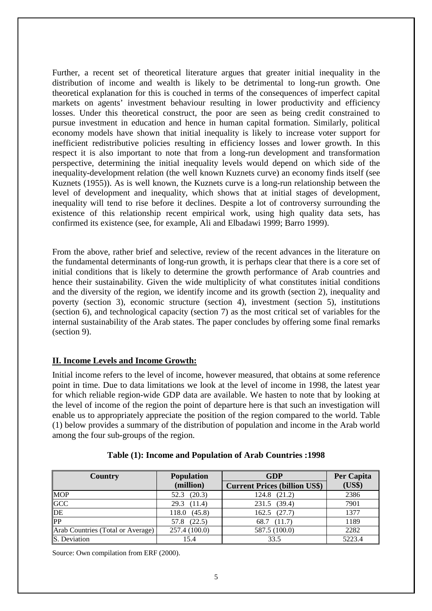Further, a recent set of theoretical literature argues that greater initial inequality in the distribution of income and wealth is likely to be detrimental to long-run growth. One theoretical explanation for this is couched in terms of the consequences of imperfect capital markets on agents' investment behaviour resulting in lower productivity and efficiency losses. Under this theoretical construct, the poor are seen as being credit constrained to pursue investment in education and hence in human capital formation. Similarly, political economy models have shown that initial inequality is likely to increase voter support for inefficient redistributive policies resulting in efficiency losses and lower growth. In this respect it is also important to note that from a long-run development and transformation perspective, determining the initial inequality levels would depend on which side of the inequality-development relation (the well known Kuznets curve) an economy finds itself (see Kuznets (1955)). As is well known, the Kuznets curve is a long-run relationship between the level of development and inequality, which shows that at initial stages of development, inequality will tend to rise before it declines. Despite a lot of controversy surrounding the existence of this relationship recent empirical work, using high quality data sets, has confirmed its existence (see, for example, Ali and Elbadawi 1999; Barro 1999).

From the above, rather brief and selective, review of the recent advances in the literature on the fundamental determinants of long-run growth, it is perhaps clear that there is a core set of initial conditions that is likely to determine the growth performance of Arab countries and hence their sustainability. Given the wide multiplicity of what constitutes initial conditions and the diversity of the region, we identify income and its growth (section 2), inequality and poverty (section 3), economic structure (section 4), investment (section 5), institutions (section 6), and technological capacity (section 7) as the most critical set of variables for the internal sustainability of the Arab states. The paper concludes by offering some final remarks (section 9).

## **II. Income Levels and Income Growth:**

Initial income refers to the level of income, however measured, that obtains at some reference point in time. Due to data limitations we look at the level of income in 1998, the latest year for which reliable region-wide GDP data are available. We hasten to note that by looking at the level of income of the region the point of departure here is that such an investigation will enable us to appropriately appreciate the position of the region compared to the world. Table (1) below provides a summary of the distribution of population and income in the Arab world among the four sub-groups of the region.

| <b>Country</b>                    | <b>Population</b> | <b>GDP</b>                           | Per Capita |
|-----------------------------------|-------------------|--------------------------------------|------------|
|                                   | (million)         | <b>Current Prices (billion US\$)</b> | (US\$)     |
| <b>MOP</b>                        | $52.3$ $(20.3)$   | 124.8 (21.2)                         | 2386       |
| GCC                               | 29.3 (11.4)       | 231.5 (39.4)                         | 7901       |
| DE                                | 118.0 (45.8)      | 162.5 (27.7)                         | 1377       |
| $\overline{\text{PP}}$            | (22.5)<br>57.8    | 68.7 (11.7)                          | 1189       |
| Arab Countries (Total or Average) | 257.4 (100.0)     | 587.5 (100.0)                        | 2282       |
| S. Deviation                      | 15.4              | 33.5                                 | 5223.4     |

**Table (1): Income and Population of Arab Countries :1998** 

Source: Own compilation from ERF (2000).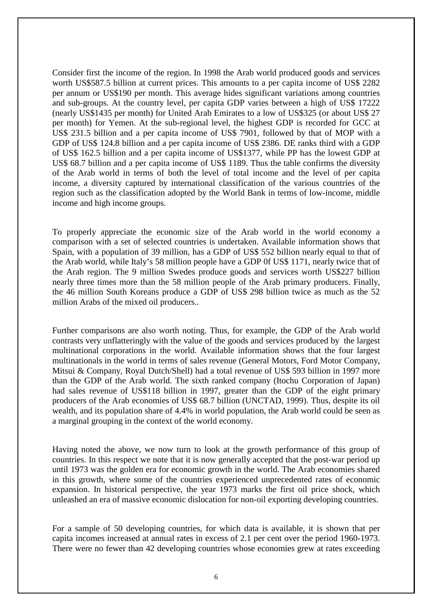Consider first the income of the region. In 1998 the Arab world produced goods and services worth US\$587.5 billion at current prices. This amounts to a per capita income of US\$ 2282 per annum or US\$190 per month. This average hides significant variations among countries and sub-groups. At the country level, per capita GDP varies between a high of US\$ 17222 (nearly US\$1435 per month) for United Arab Emirates to a low of US\$325 (or about US\$ 27 per month) for Yemen. At the sub-regional level, the highest GDP is recorded for GCC at US\$ 231.5 billion and a per capita income of US\$ 7901, followed by that of MOP with a GDP of US\$ 124.8 billion and a per capita income of US\$ 2386. DE ranks third with a GDP of US\$ 162.5 billion and a per capita income of US\$1377, while PP has the lowest GDP at US\$ 68.7 billion and a per capita income of US\$ 1189. Thus the table confirms the diversity of the Arab world in terms of both the level of total income and the level of per capita income, a diversity captured by international classification of the various countries of the region such as the classification adopted by the World Bank in terms of low-income, middle income and high income groups.

To properly appreciate the economic size of the Arab world in the world economy a comparison with a set of selected countries is undertaken. Available information shows that Spain, with a population of 39 million, has a GDP of US\$ 552 billion nearly equal to that of the Arab world, while Italy's 58 million people have a GDP 0f US\$ 1171, nearly twice that of the Arab region. The 9 million Swedes produce goods and services worth US\$227 billion nearly three times more than the 58 million people of the Arab primary producers. Finally, the 46 million South Koreans produce a GDP of US\$ 298 billion twice as much as the 52 million Arabs of the mixed oil producers..

Further comparisons are also worth noting. Thus, for example, the GDP of the Arab world contrasts very unflatteringly with the value of the goods and services produced by the largest multinational corporations in the world. Available information shows that the four largest multinationals in the world in terms of sales revenue (General Motors, Ford Motor Company, Mitsui & Company, Royal Dutch/Shell) had a total revenue of US\$ 593 billion in 1997 more than the GDP of the Arab world. The sixth ranked company (Itochu Corporation of Japan) had sales revenue of US\$118 billion in 1997, greater than the GDP of the eight primary producers of the Arab economies of US\$ 68.7 billion (UNCTAD, 1999). Thus, despite its oil wealth, and its population share of 4.4% in world population, the Arab world could be seen as a marginal grouping in the context of the world economy.

Having noted the above, we now turn to look at the growth performance of this group of countries. In this respect we note that it is now generally accepted that the post-war period up until 1973 was the golden era for economic growth in the world. The Arab economies shared in this growth, where some of the countries experienced unprecedented rates of economic expansion. In historical perspective, the year 1973 marks the first oil price shock, which unleashed an era of massive economic dislocation for non-oil exporting developing countries.

For a sample of 50 developing countries, for which data is available, it is shown that per capita incomes increased at annual rates in excess of 2.1 per cent over the period 1960-1973. There were no fewer than 42 developing countries whose economies grew at rates exceeding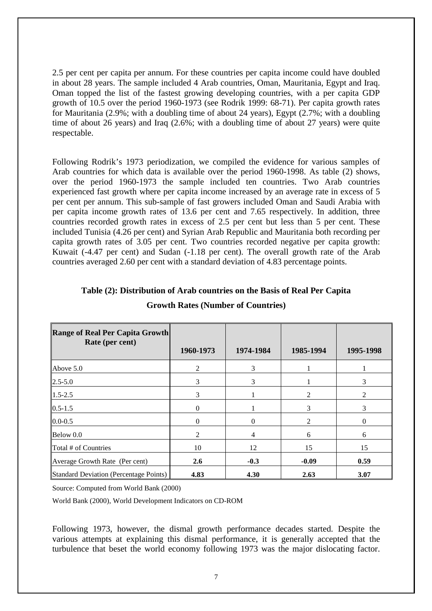2.5 per cent per capita per annum. For these countries per capita income could have doubled in about 28 years. The sample included 4 Arab countries, Oman, Mauritania, Egypt and Iraq. Oman topped the list of the fastest growing developing countries, with a per capita GDP growth of 10.5 over the period 1960-1973 (see Rodrik 1999: 68-71). Per capita growth rates for Mauritania (2.9%; with a doubling time of about 24 years), Egypt (2.7%; with a doubling time of about 26 years) and Iraq (2.6%; with a doubling time of about 27 years) were quite respectable.

Following Rodrik's 1973 periodization, we compiled the evidence for various samples of Arab countries for which data is available over the period 1960-1998. As table (2) shows, over the period 1960-1973 the sample included ten countries. Two Arab countries experienced fast growth where per capita income increased by an average rate in excess of 5 per cent per annum. This sub-sample of fast growers included Oman and Saudi Arabia with per capita income growth rates of 13.6 per cent and 7.65 respectively. In addition, three countries recorded growth rates in excess of 2.5 per cent but less than 5 per cent. These included Tunisia (4.26 per cent) and Syrian Arab Republic and Mauritania both recording per capita growth rates of 3.05 per cent. Two countries recorded negative per capita growth: Kuwait (-4.47 per cent) and Sudan (-1.18 per cent). The overall growth rate of the Arab countries averaged 2.60 per cent with a standard deviation of 4.83 percentage points.

| <b>Range of Real Per Capita Growth</b>        |              |                |               |           |
|-----------------------------------------------|--------------|----------------|---------------|-----------|
| Rate (per cent)                               | 1960-1973    | 1974-1984      | 1985-1994     | 1995-1998 |
| Above $5.0$                                   | 2            | 3              |               |           |
| $2.5 - 5.0$                                   | 3            | 3              |               | 3         |
| $1.5 - 2.5$                                   | 3            |                | 2             | 2         |
| $0.5 - 1.5$                                   | $\mathbf{0}$ |                | 3             | 3         |
| $0.0 - 0.5$                                   | $\mathbf{0}$ | $\Omega$       | $\mathcal{D}$ | $\theta$  |
| Below 0.0                                     | 2            | $\overline{4}$ | 6             | 6         |
| Total # of Countries                          | 10           | 12             | 15            | 15        |
| Average Growth Rate (Per cent)                | 2.6          | $-0.3$         | $-0.09$       | 0.59      |
| <b>Standard Deviation (Percentage Points)</b> | 4.83         | 4.30           | 2.63          | 3.07      |

## **Table (2): Distribution of Arab countries on the Basis of Real Per Capita**

Source: Computed from World Bank (2000)

World Bank (2000), World Development Indicators on CD-ROM

Following 1973, however, the dismal growth performance decades started. Despite the various attempts at explaining this dismal performance, it is generally accepted that the turbulence that beset the world economy following 1973 was the major dislocating factor.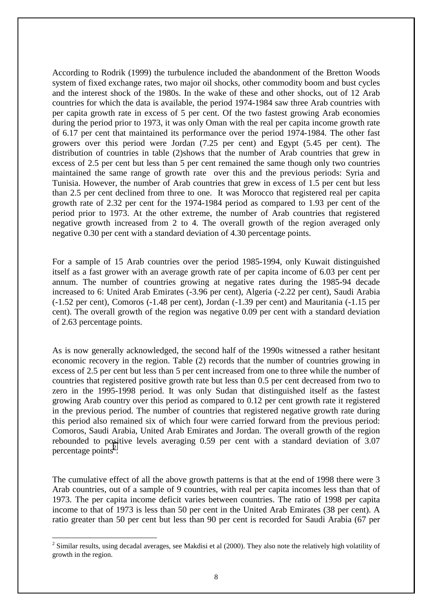According to Rodrik (1999) the turbulence included the abandonment of the Bretton Woods system of fixed exchange rates, two major oil shocks, other commodity boom and bust cycles and the interest shock of the 1980s. In the wake of these and other shocks, out of 12 Arab countries for which the data is available, the period 1974-1984 saw three Arab countries with per capita growth rate in excess of 5 per cent. Of the two fastest growing Arab economies during the period prior to 1973, it was only Oman with the real per capita income growth rate of 6.17 per cent that maintained its performance over the period 1974-1984. The other fast growers over this period were Jordan (7.25 per cent) and Egypt (5.45 per cent). The distribution of countries in table (2)shows that the number of Arab countries that grew in excess of 2.5 per cent but less than 5 per cent remained the same though only two countries maintained the same range of growth rate over this and the previous periods: Syria and Tunisia. However, the number of Arab countries that grew in excess of 1.5 per cent but less than 2.5 per cent declined from three to one. It was Morocco that registered real per capita growth rate of 2.32 per cent for the 1974-1984 period as compared to 1.93 per cent of the period prior to 1973. At the other extreme, the number of Arab countries that registered negative growth increased from 2 to 4. The overall growth of the region averaged only negative 0.30 per cent with a standard deviation of 4.30 percentage points.

For a sample of 15 Arab countries over the period 1985-1994, only Kuwait distinguished itself as a fast grower with an average growth rate of per capita income of 6.03 per cent per annum. The number of countries growing at negative rates during the 1985-94 decade increased to 6: United Arab Emirates (-3.96 per cent), Algeria (-2.22 per cent), Saudi Arabia (-1.52 per cent), Comoros (-1.48 per cent), Jordan (-1.39 per cent) and Mauritania (-1.15 per cent). The overall growth of the region was negative 0.09 per cent with a standard deviation of 2.63 percentage points.

As is now generally acknowledged, the second half of the 1990s witnessed a rather hesitant economic recovery in the region. Table (2) records that the number of countries growing in excess of 2.5 per cent but less than 5 per cent increased from one to three while the number of countries that registered positive growth rate but less than 0.5 per cent decreased from two to zero in the 1995-1998 period. It was only Sudan that distinguished itself as the fastest growing Arab country over this period as compared to 0.12 per cent growth rate it registered in the previous period. The number of countries that registered negative growth rate during this period also remained six of which four were carried forward from the previous period: Comoros, Saudi Arabia, United Arab Emirates and Jordan. The overall growth of the region rebounded to positive levels averaging 0.59 per cent with a standard deviation of 3.07 percentage points<sup>2</sup>.

The cumulative effect of all the above growth patterns is that at the end of 1998 there were 3 Arab countries, out of a sample of 9 countries, with real per capita incomes less than that of 1973. The per capita income deficit varies between countries. The ratio of 1998 per capita income to that of 1973 is less than 50 per cent in the United Arab Emirates (38 per cent). A ratio greater than 50 per cent but less than 90 per cent is recorded for Saudi Arabia (67 per

 $\overline{a}$ 

<sup>&</sup>lt;sup>2</sup> Similar results, using decadal averages, see Makdisi et al (2000). They also note the relatively high volatility of growth in the region.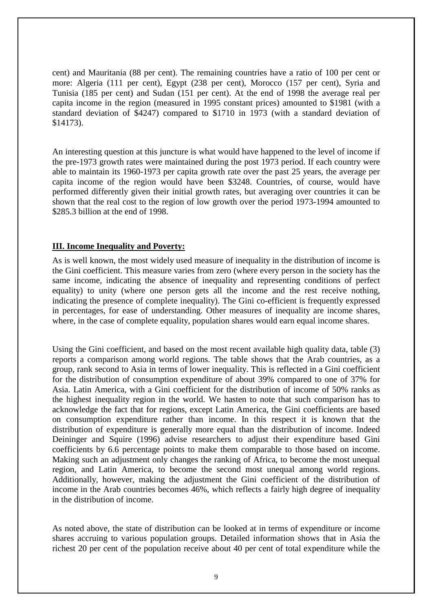cent) and Mauritania (88 per cent). The remaining countries have a ratio of 100 per cent or more: Algeria (111 per cent), Egypt (238 per cent), Morocco (157 per cent), Syria and Tunisia (185 per cent) and Sudan (151 per cent). At the end of 1998 the average real per capita income in the region (measured in 1995 constant prices) amounted to \$1981 (with a standard deviation of \$4247) compared to \$1710 in 1973 (with a standard deviation of \$14173).

An interesting question at this juncture is what would have happened to the level of income if the pre-1973 growth rates were maintained during the post 1973 period. If each country were able to maintain its 1960-1973 per capita growth rate over the past 25 years, the average per capita income of the region would have been \$3248. Countries, of course, would have performed differently given their initial growth rates, but averaging over countries it can be shown that the real cost to the region of low growth over the period 1973-1994 amounted to \$285.3 billion at the end of 1998.

#### **III. Income Inequality and Poverty:**

As is well known, the most widely used measure of inequality in the distribution of income is the Gini coefficient. This measure varies from zero (where every person in the society has the same income, indicating the absence of inequality and representing conditions of perfect equality) to unity (where one person gets all the income and the rest receive nothing, indicating the presence of complete inequality). The Gini co-efficient is frequently expressed in percentages, for ease of understanding. Other measures of inequality are income shares, where, in the case of complete equality, population shares would earn equal income shares.

Using the Gini coefficient, and based on the most recent available high quality data, table (3) reports a comparison among world regions. The table shows that the Arab countries, as a group, rank second to Asia in terms of lower inequality. This is reflected in a Gini coefficient for the distribution of consumption expenditure of about 39% compared to one of 37% for Asia. Latin America, with a Gini coefficient for the distribution of income of 50% ranks as the highest inequality region in the world. We hasten to note that such comparison has to acknowledge the fact that for regions, except Latin America, the Gini coefficients are based on consumption expenditure rather than income. In this respect it is known that the distribution of expenditure is generally more equal than the distribution of income. Indeed Deininger and Squire (1996) advise researchers to adjust their expenditure based Gini coefficients by 6.6 percentage points to make them comparable to those based on income. Making such an adjustment only changes the ranking of Africa, to become the most unequal region, and Latin America, to become the second most unequal among world regions. Additionally, however, making the adjustment the Gini coefficient of the distribution of income in the Arab countries becomes 46%, which reflects a fairly high degree of inequality in the distribution of income.

As noted above, the state of distribution can be looked at in terms of expenditure or income shares accruing to various population groups. Detailed information shows that in Asia the richest 20 per cent of the population receive about 40 per cent of total expenditure while the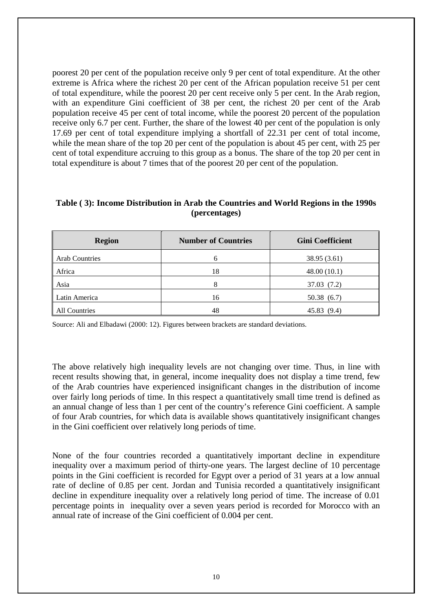poorest 20 per cent of the population receive only 9 per cent of total expenditure. At the other extreme is Africa where the richest 20 per cent of the African population receive 51 per cent of total expenditure, while the poorest 20 per cent receive only 5 per cent. In the Arab region, with an expenditure Gini coefficient of 38 per cent, the richest 20 per cent of the Arab population receive 45 per cent of total income, while the poorest 20 percent of the population receive only 6.7 per cent. Further, the share of the lowest 40 per cent of the population is only 17.69 per cent of total expenditure implying a shortfall of 22.31 per cent of total income, while the mean share of the top 20 per cent of the population is about 45 per cent, with 25 per cent of total expenditure accruing to this group as a bonus. The share of the top 20 per cent in total expenditure is about 7 times that of the poorest 20 per cent of the population.

## **Table ( 3): Income Distribution in Arab the Countries and World Regions in the 1990s (percentages)**

| <b>Region</b>         | <b>Number of Countries</b> | <b>Gini Coefficient</b> |
|-----------------------|----------------------------|-------------------------|
| <b>Arab Countries</b> | 6                          | 38.95 (3.61)            |
| Africa                | 18                         | 48.00(10.1)             |
| Asia                  |                            | 37.03 (7.2)             |
| Latin America         | 16                         | 50.38(6.7)              |
| All Countries         | 48                         | 45.83 (9.4)             |

Source: Ali and Elbadawi (2000: 12). Figures between brackets are standard deviations.

The above relatively high inequality levels are not changing over time. Thus, in line with recent results showing that, in general, income inequality does not display a time trend, few of the Arab countries have experienced insignificant changes in the distribution of income over fairly long periods of time. In this respect a quantitatively small time trend is defined as an annual change of less than 1 per cent of the country's reference Gini coefficient. A sample of four Arab countries, for which data is available shows quantitatively insignificant changes in the Gini coefficient over relatively long periods of time.

None of the four countries recorded a quantitatively important decline in expenditure inequality over a maximum period of thirty-one years. The largest decline of 10 percentage points in the Gini coefficient is recorded for Egypt over a period of 31 years at a low annual rate of decline of 0.85 per cent. Jordan and Tunisia recorded a quantitatively insignificant decline in expenditure inequality over a relatively long period of time. The increase of 0.01 percentage points in inequality over a seven years period is recorded for Morocco with an annual rate of increase of the Gini coefficient of 0.004 per cent.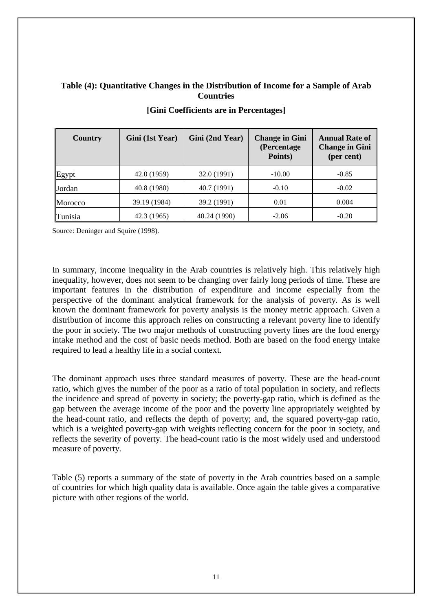## **Table (4): Quantitative Changes in the Distribution of Income for a Sample of Arab Countries**

| <b>Country</b> | Gini (1st Year) | Gini (2nd Year) | <b>Change in Gini</b><br>(Percentage<br>Points) | <b>Annual Rate of</b><br><b>Change in Gini</b><br>(per cent) |
|----------------|-----------------|-----------------|-------------------------------------------------|--------------------------------------------------------------|
| Egypt          | 42.0 (1959)     | 32.0 (1991)     | $-10.00$                                        | $-0.85$                                                      |
| Jordan         | 40.8 (1980)     | 40.7 (1991)     | $-0.10$                                         | $-0.02$                                                      |
| Morocco        | 39.19 (1984)    | 39.2 (1991)     | 0.01                                            | 0.004                                                        |
| Tunisia        | 42.3 (1965)     | 40.24 (1990)    | $-2.06$                                         | $-0.20$                                                      |

#### **[Gini Coefficients are in Percentages]**

Source: Deninger and Squire (1998).

In summary, income inequality in the Arab countries is relatively high. This relatively high inequality, however, does not seem to be changing over fairly long periods of time. These are important features in the distribution of expenditure and income especially from the perspective of the dominant analytical framework for the analysis of poverty. As is well known the dominant framework for poverty analysis is the money metric approach. Given a distribution of income this approach relies on constructing a relevant poverty line to identify the poor in society. The two major methods of constructing poverty lines are the food energy intake method and the cost of basic needs method. Both are based on the food energy intake required to lead a healthy life in a social context.

The dominant approach uses three standard measures of poverty. These are the head-count ratio, which gives the number of the poor as a ratio of total population in society, and reflects the incidence and spread of poverty in society; the poverty-gap ratio, which is defined as the gap between the average income of the poor and the poverty line appropriately weighted by the head-count ratio, and reflects the depth of poverty; and, the squared poverty-gap ratio, which is a weighted poverty-gap with weights reflecting concern for the poor in society, and reflects the severity of poverty. The head-count ratio is the most widely used and understood measure of poverty.

Table (5) reports a summary of the state of poverty in the Arab countries based on a sample of countries for which high quality data is available. Once again the table gives a comparative picture with other regions of the world.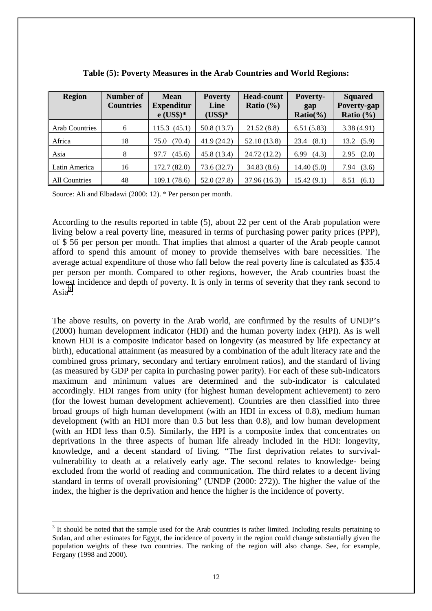| <b>Region</b>         | Number of<br><b>Countries</b> | <b>Mean</b><br><b>Expenditur</b><br>$e$ (US\$)* | <b>Poverty</b><br>Line<br>$(US$)*$ | <b>Head-count</b><br>Ratio $(\% )$ | Poverty-<br>gap<br>$Ratio(\% )$ | <b>Squared</b><br>Poverty-gap<br>Ratio $(\% )$ |
|-----------------------|-------------------------------|-------------------------------------------------|------------------------------------|------------------------------------|---------------------------------|------------------------------------------------|
| <b>Arab Countries</b> | 6                             | 115.3(45.1)                                     | 50.8(13.7)                         | 21.52(8.8)                         | 6.51(5.83)                      | 3.38(4.91)                                     |
| Africa                | 18                            | (70.4)<br>75.0                                  | 41.9(24.2)                         | 52.10 (13.8)                       | (8.1)<br>23.4                   | $13.2 \quad (5.9)$                             |
| Asia                  | 8                             | (45.6)<br>97.7                                  | 45.8 (13.4)                        | 24.72 (12.2)                       | 6.99<br>(4.3)                   | 2.95(2.0)                                      |
| Latin America         | 16                            | 172.7 (82.0)                                    | 73.6(32.7)                         | 34.83(8.6)                         | 14.40(5.0)                      | (3.6)<br>7.94                                  |
| <b>All Countries</b>  | 48                            | 109.1 (78.6)                                    | 52.0 (27.8)                        | 37.96 (16.3)                       | 15.42(9.1)                      | 8.51<br>(6.1)                                  |

Source: Ali and Elbadawi (2000: 12). \* Per person per month.

 $\overline{a}$ 

According to the results reported in table (5), about 22 per cent of the Arab population were living below a real poverty line, measured in terms of purchasing power parity prices (PPP), of \$ 56 per person per month. That implies that almost a quarter of the Arab people cannot afford to spend this amount of money to provide themselves with bare necessities. The average actual expenditure of those who fall below the real poverty line is calculated as \$35.4 per person per month. Compared to other regions, however, the Arab countries boast the lowest incidence and depth of poverty. It is only in terms of severity that they rank second to Asi $a^3$ .

The above results, on poverty in the Arab world, are confirmed by the results of UNDP's (2000) human development indicator (HDI) and the human poverty index (HPI). As is well known HDI is a composite indicator based on longevity (as measured by life expectancy at birth), educational attainment (as measured by a combination of the adult literacy rate and the combined gross primary, secondary and tertiary enrolment ratios), and the standard of living (as measured by GDP per capita in purchasing power parity). For each of these sub-indicators maximum and minimum values are determined and the sub-indicator is calculated accordingly. HDI ranges from unity (for highest human development achievement) to zero (for the lowest human development achievement). Countries are then classified into three broad groups of high human development (with an HDI in excess of 0.8), medium human development (with an HDI more than 0.5 but less than 0.8), and low human development (with an HDI less than 0.5). Similarly, the HPI is a composite index that concentrates on deprivations in the three aspects of human life already included in the HDI: longevity, knowledge, and a decent standard of living. "The first deprivation relates to survivalvulnerability to death at a relatively early age. The second relates to knowledge- being excluded from the world of reading and communication. The third relates to a decent living standard in terms of overall provisioning" (UNDP (2000: 272)). The higher the value of the index, the higher is the deprivation and hence the higher is the incidence of poverty.

 $3$  It should be noted that the sample used for the Arab countries is rather limited. Including results pertaining to Sudan, and other estimates for Egypt, the incidence of poverty in the region could change substantially given the population weights of these two countries. The ranking of the region will also change. See, for example, Fergany (1998 and 2000).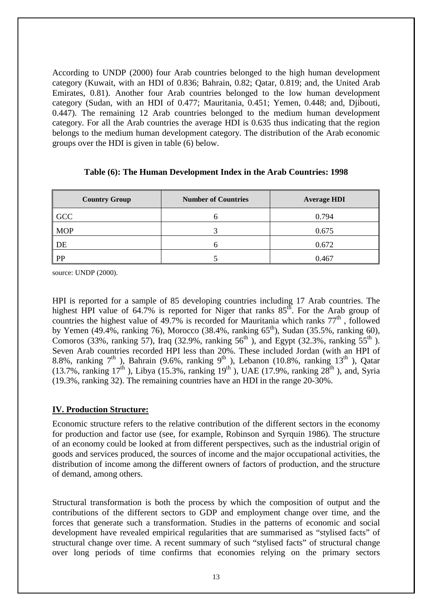According to UNDP (2000) four Arab countries belonged to the high human development category (Kuwait, with an HDI of 0.836; Bahrain, 0.82; Qatar, 0.819; and, the United Arab Emirates, 0.81). Another four Arab countries belonged to the low human development category (Sudan, with an HDI of 0.477; Mauritania, 0.451; Yemen, 0.448; and, Djibouti, 0.447). The remaining 12 Arab countries belonged to the medium human development category. For all the Arab countries the average HDI is 0.635 thus indicating that the region belongs to the medium human development category. The distribution of the Arab economic groups over the HDI is given in table (6) below.

| <b>Country Group</b> | <b>Number of Countries</b> | <b>Average HDI</b> |
|----------------------|----------------------------|--------------------|
| GCC                  |                            | 0.794              |
| <b>MOP</b>           |                            | 0.675              |
| DE                   |                            | 0.672              |
| PP                   |                            | 0.467              |

#### **Table (6): The Human Development Index in the Arab Countries: 1998**

source: UNDP (2000).

HPI is reported for a sample of 85 developing countries including 17 Arab countries. The highest HPI value of  $64.7\%$  is reported for Niger that ranks  $85<sup>th</sup>$ . For the Arab group of countries the highest value of 49.7% is recorded for Mauritania which ranks  $77<sup>th</sup>$ , followed by Yemen (49.4%, ranking 76), Morocco (38.4%, ranking 65<sup>th</sup>), Sudan (35.5%, ranking 60), Comoros (33%, ranking 57), Iraq (32.9%, ranking 56<sup>th</sup>), and Egypt (32.3%, ranking 55<sup>th</sup>). Seven Arab countries recorded HPI less than 20%. These included Jordan (with an HPI of 8.8%, ranking  $7<sup>th</sup>$ ), Bahrain (9.6%, ranking 9<sup>th</sup>), Lebanon (10.8%, ranking 13<sup>th</sup>), Qatar (13.7%, ranking 17<sup>th</sup>), Libya (15.3%, ranking 19<sup>th</sup>), UAE (17.9%, ranking 28<sup>th</sup>), and, Syria (19.3%, ranking 32). The remaining countries have an HDI in the range 20-30%.

## **IV. Production Structure:**

Economic structure refers to the relative contribution of the different sectors in the economy for production and factor use (see, for example, Robinson and Syrquin 1986). The structure of an economy could be looked at from different perspectives, such as the industrial origin of goods and services produced, the sources of income and the major occupational activities, the distribution of income among the different owners of factors of production, and the structure of demand, among others.

Structural transformation is both the process by which the composition of output and the contributions of the different sectors to GDP and employment change over time, and the forces that generate such a transformation. Studies in the patterns of economic and social development have revealed empirical regularities that are summarised as "stylised facts" of structural change over time. A recent summary of such "stylised facts" of structural change over long periods of time confirms that economies relying on the primary sectors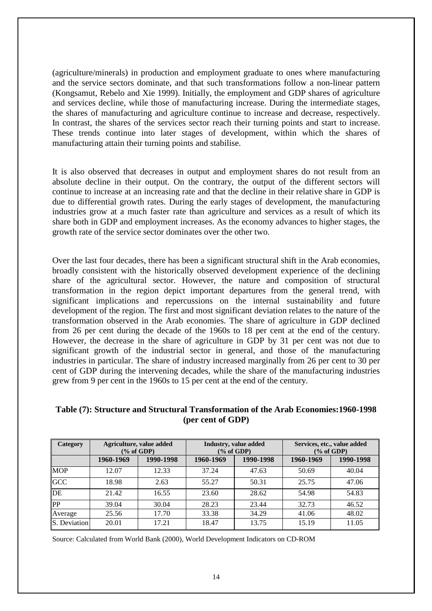(agriculture/minerals) in production and employment graduate to ones where manufacturing and the service sectors dominate, and that such transformations follow a non-linear pattern (Kongsamut, Rebelo and Xie 1999). Initially, the employment and GDP shares of agriculture and services decline, while those of manufacturing increase. During the intermediate stages, the shares of manufacturing and agriculture continue to increase and decrease, respectively. In contrast, the shares of the services sector reach their turning points and start to increase. These trends continue into later stages of development, within which the shares of manufacturing attain their turning points and stabilise.

It is also observed that decreases in output and employment shares do not result from an absolute decline in their output. On the contrary, the output of the different sectors will continue to increase at an increasing rate and that the decline in their relative share in GDP is due to differential growth rates. During the early stages of development, the manufacturing industries grow at a much faster rate than agriculture and services as a result of which its share both in GDP and employment increases. As the economy advances to higher stages, the growth rate of the service sector dominates over the other two.

Over the last four decades, there has been a significant structural shift in the Arab economies, broadly consistent with the historically observed development experience of the declining share of the agricultural sector. However, the nature and composition of structural transformation in the region depict important departures from the general trend, with significant implications and repercussions on the internal sustainability and future development of the region. The first and most significant deviation relates to the nature of the transformation observed in the Arab economies. The share of agriculture in GDP declined from 26 per cent during the decade of the 1960s to 18 per cent at the end of the century. However, the decrease in the share of agriculture in GDP by 31 per cent was not due to significant growth of the industrial sector in general, and those of the manufacturing industries in particular. The share of industry increased marginally from 26 per cent to 30 per cent of GDP during the intervening decades, while the share of the manufacturing industries grew from 9 per cent in the 1960s to 15 per cent at the end of the century.

| Category     | Agriculture, value added<br>$\frac{6}{6}$ of GDP) |           | Industry, value added<br>$(\%$ of GDP) |           | Services, etc., value added<br>$(\%$ of GDP) |           |
|--------------|---------------------------------------------------|-----------|----------------------------------------|-----------|----------------------------------------------|-----------|
|              | 1960-1969                                         | 1990-1998 | 1960-1969                              | 1990-1998 | 1960-1969                                    | 1990-1998 |
| <b>MOP</b>   | 12.07                                             | 12.33     | 37.24                                  | 47.63     | 50.69                                        | 40.04     |
| <b>GCC</b>   | 18.98                                             | 2.63      | 55.27                                  | 50.31     | 25.75                                        | 47.06     |
| DE           | 21.42                                             | 16.55     | 23.60                                  | 28.62     | 54.98                                        | 54.83     |
| PP           | 39.04                                             | 30.04     | 28.23                                  | 23.44     | 32.73                                        | 46.52     |
| Average      | 25.56                                             | 17.70     | 33.38                                  | 34.29     | 41.06                                        | 48.02     |
| S. Deviation | 20.01                                             | 17.21     | 18.47                                  | 13.75     | 15.19                                        | 11.05     |

## **Table (7): Structure and Structural Transformation of the Arab Economies:1960-1998 (per cent of GDP)**

Source: Calculated from World Bank (2000), World Development Indicators on CD-ROM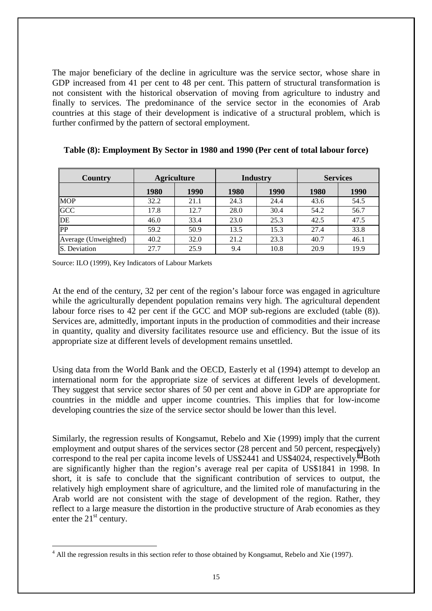The major beneficiary of the decline in agriculture was the service sector, whose share in GDP increased from 41 per cent to 48 per cent. This pattern of structural transformation is not consistent with the historical observation of moving from agriculture to industry and finally to services. The predominance of the service sector in the economies of Arab countries at this stage of their development is indicative of a structural problem, which is further confirmed by the pattern of sectoral employment.

| Country              | <b>Agriculture</b> |      | <b>Industry</b> |      | <b>Services</b> |      |
|----------------------|--------------------|------|-----------------|------|-----------------|------|
|                      | 1980               | 1990 | <b>1980</b>     | 1990 | 1980            | 1990 |
| <b>MOP</b>           | 32.2               | 21.1 | 24.3            | 24.4 | 43.6            | 54.5 |
| <b>GCC</b>           | 17.8               | 12.7 | 28.0            | 30.4 | 54.2            | 56.7 |
| DE                   | 46.0               | 33.4 | 23.0            | 25.3 | 42.5            | 47.5 |
| PP                   | 59.2               | 50.9 | 13.5            | 15.3 | 27.4            | 33.8 |
| Average (Unweighted) | 40.2               | 32.0 | 21.2            | 23.3 | 40.7            | 46.1 |
| S. Deviation         | 27.7               | 25.9 | 9.4             | 10.8 | 20.9            | 19.9 |

**Table (8): Employment By Sector in 1980 and 1990 (Per cent of total labour force)** 

Source: ILO (1999), Key Indicators of Labour Markets

 $\overline{a}$ 

At the end of the century, 32 per cent of the region's labour force was engaged in agriculture while the agriculturally dependent population remains very high. The agricultural dependent labour force rises to 42 per cent if the GCC and MOP sub-regions are excluded (table (8)). Services are, admittedly, important inputs in the production of commodities and their increase in quantity, quality and diversity facilitates resource use and efficiency. But the issue of its appropriate size at different levels of development remains unsettled.

Using data from the World Bank and the OECD, Easterly et al (1994) attempt to develop an international norm for the appropriate size of services at different levels of development. They suggest that service sector shares of 50 per cent and above in GDP are appropriate for countries in the middle and upper income countries. This implies that for low-income developing countries the size of the service sector should be lower than this level.

Similarly, the regression results of Kongsamut, Rebelo and Xie (1999) imply that the current employment and output shares of the services sector (28 percent and 50 percent, respectively) correspond to the real per capita income levels of US\$2441 and US\$4024, respectively.<sup>4</sup> Both are significantly higher than the region's average real per capita of US\$1841 in 1998. In short, it is safe to conclude that the significant contribution of services to output, the relatively high employment share of agriculture, and the limited role of manufacturing in the Arab world are not consistent with the stage of development of the region. Rather, they reflect to a large measure the distortion in the productive structure of Arab economies as they enter the  $21<sup>st</sup>$  century.

 $4$  All the regression results in this section refer to those obtained by Kongsamut, Rebelo and Xie (1997).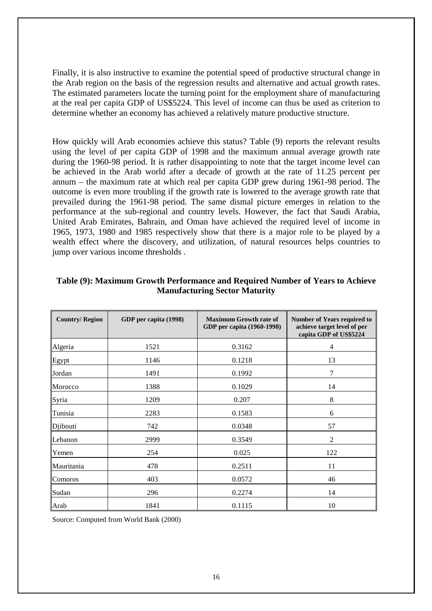Finally, it is also instructive to examine the potential speed of productive structural change in the Arab region on the basis of the regression results and alternative and actual growth rates. The estimated parameters locate the turning point for the employment share of manufacturing at the real per capita GDP of US\$5224. This level of income can thus be used as criterion to determine whether an economy has achieved a relatively mature productive structure.

How quickly will Arab economies achieve this status? Table (9) reports the relevant results using the level of per capita GDP of 1998 and the maximum annual average growth rate during the 1960-98 period. It is rather disappointing to note that the target income level can be achieved in the Arab world after a decade of growth at the rate of 11.25 percent per annum – the maximum rate at which real per capita GDP grew during 1961-98 period. The outcome is even more troubling if the growth rate is lowered to the average growth rate that prevailed during the 1961-98 period. The same dismal picture emerges in relation to the performance at the sub-regional and country levels. However, the fact that Saudi Arabia, United Arab Emirates, Bahrain, and Oman have achieved the required level of income in 1965, 1973, 1980 and 1985 respectively show that there is a major role to be played by a wealth effect where the discovery, and utilization, of natural resources helps countries to jump over various income thresholds .

| <b>Country/Region</b> | GDP per capita (1998) | <b>Maximum Growth rate of</b><br>GDP per capita (1960-1998) | <b>Number of Years required to</b><br>achieve target level of per<br>capita GDP of US\$5224 |
|-----------------------|-----------------------|-------------------------------------------------------------|---------------------------------------------------------------------------------------------|
| Algeria               | 1521                  | 0.3162                                                      | 4                                                                                           |
| Egypt                 | 1146                  | 0.1218                                                      | 13                                                                                          |
| Jordan                | 1491                  | 0.1992                                                      | $\overline{7}$                                                                              |
| Morocco               | 1388                  | 0.1029                                                      | 14                                                                                          |
| Syria                 | 1209                  | 0.207                                                       | 8                                                                                           |
| Tunisia               | 2283                  | 0.1583                                                      | 6                                                                                           |
| Djibouti              | 742                   | 0.0348                                                      | 57                                                                                          |
| Lebanon               | 2999                  | 0.3549                                                      | $\overline{2}$                                                                              |
| Yemen                 | 254                   | 0.025                                                       | 122                                                                                         |
| Mauritania            | 478                   | 0.2511                                                      | 11                                                                                          |
| Comoros               | 403                   | 0.0572                                                      | 46                                                                                          |
| Sudan                 | 296                   | 0.2274                                                      | 14                                                                                          |
| Arab                  | 1841                  | 0.1115                                                      | 10                                                                                          |

#### **Table (9): Maximum Growth Performance and Required Number of Years to Achieve Manufacturing Sector Maturity**

Source: Computed from World Bank (2000)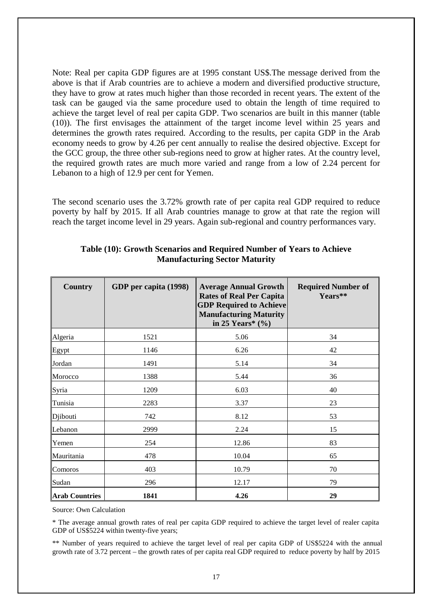Note: Real per capita GDP figures are at 1995 constant US\$.The message derived from the above is that if Arab countries are to achieve a modern and diversified productive structure, they have to grow at rates much higher than those recorded in recent years. The extent of the task can be gauged via the same procedure used to obtain the length of time required to achieve the target level of real per capita GDP. Two scenarios are built in this manner (table (10)). The first envisages the attainment of the target income level within 25 years and determines the growth rates required. According to the results, per capita GDP in the Arab economy needs to grow by 4.26 per cent annually to realise the desired objective. Except for the GCC group, the three other sub-regions need to grow at higher rates. At the country level, the required growth rates are much more varied and range from a low of 2.24 percent for Lebanon to a high of 12.9 per cent for Yemen.

The second scenario uses the 3.72% growth rate of per capita real GDP required to reduce poverty by half by 2015. If all Arab countries manage to grow at that rate the region will reach the target income level in 29 years. Again sub-regional and country performances vary.

| <b>Country</b>        | GDP per capita (1998) | <b>Average Annual Growth</b><br><b>Rates of Real Per Capita</b><br><b>GDP Required to Achieve</b><br><b>Manufacturing Maturity</b><br>in 25 Years* $(\% )$ | <b>Required Number of</b><br>Years** |
|-----------------------|-----------------------|------------------------------------------------------------------------------------------------------------------------------------------------------------|--------------------------------------|
| Algeria               | 1521                  | 5.06                                                                                                                                                       | 34                                   |
| Egypt                 | 1146                  | 6.26                                                                                                                                                       | 42                                   |
| Jordan                | 1491                  | 5.14                                                                                                                                                       | 34                                   |
| Morocco               | 1388                  | 5.44                                                                                                                                                       | 36                                   |
| Syria                 | 1209                  | 6.03                                                                                                                                                       | 40                                   |
| Tunisia               | 2283                  | 3.37                                                                                                                                                       | 23                                   |
| Djibouti              | 742                   | 8.12                                                                                                                                                       | 53                                   |
| Lebanon               | 2999                  | 2.24                                                                                                                                                       | 15                                   |
| Yemen                 | 254                   | 12.86                                                                                                                                                      | 83                                   |
| Mauritania            | 478                   | 10.04                                                                                                                                                      | 65                                   |
| Comoros               | 403                   | 10.79                                                                                                                                                      | 70                                   |
| Sudan                 | 296                   | 12.17                                                                                                                                                      | 79                                   |
| <b>Arab Countries</b> | 1841                  | 4.26                                                                                                                                                       | 29                                   |

#### **Table (10): Growth Scenarios and Required Number of Years to Achieve Manufacturing Sector Maturity**

Source: Own Calculation

\* The average annual growth rates of real per capita GDP required to achieve the target level of realer capita GDP of US\$5224 within twenty-five years;

\*\* Number of years required to achieve the target level of real per capita GDP of US\$5224 with the annual growth rate of 3.72 percent – the growth rates of per capita real GDP required to reduce poverty by half by 2015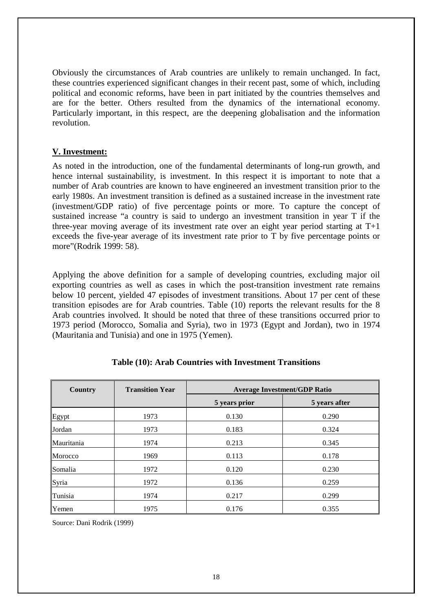Obviously the circumstances of Arab countries are unlikely to remain unchanged. In fact, these countries experienced significant changes in their recent past, some of which, including political and economic reforms, have been in part initiated by the countries themselves and are for the better. Others resulted from the dynamics of the international economy. Particularly important, in this respect, are the deepening globalisation and the information revolution.

### **V. Investment:**

As noted in the introduction, one of the fundamental determinants of long-run growth, and hence internal sustainability, is investment. In this respect it is important to note that a number of Arab countries are known to have engineered an investment transition prior to the early 1980s. An investment transition is defined as a sustained increase in the investment rate (investment/GDP ratio) of five percentage points or more. To capture the concept of sustained increase "a country is said to undergo an investment transition in year T if the three-year moving average of its investment rate over an eight year period starting at T+1 exceeds the five-year average of its investment rate prior to T by five percentage points or more"(Rodrik 1999: 58).

Applying the above definition for a sample of developing countries, excluding major oil exporting countries as well as cases in which the post-transition investment rate remains below 10 percent, yielded 47 episodes of investment transitions. About 17 per cent of these transition episodes are for Arab countries. Table (10) reports the relevant results for the 8 Arab countries involved. It should be noted that three of these transitions occurred prior to 1973 period (Morocco, Somalia and Syria), two in 1973 (Egypt and Jordan), two in 1974 (Mauritania and Tunisia) and one in 1975 (Yemen).

| Country    | <b>Transition Year</b> | <b>Average Investment/GDP Ratio</b> |               |  |
|------------|------------------------|-------------------------------------|---------------|--|
|            |                        | 5 years prior                       | 5 years after |  |
| Egypt      | 1973                   | 0.130                               | 0.290         |  |
| Jordan     | 1973                   | 0.183                               | 0.324         |  |
| Mauritania | 1974                   | 0.213                               | 0.345         |  |
| Morocco    | 1969                   | 0.113                               | 0.178         |  |
| Somalia    | 1972                   | 0.120                               | 0.230         |  |
| Syria      | 1972                   | 0.136                               | 0.259         |  |
| Tunisia    | 1974                   | 0.217                               | 0.299         |  |
| Yemen      | 1975                   | 0.176                               | 0.355         |  |

## **Table (10): Arab Countries with Investment Transitions**

Source: Dani Rodrik (1999)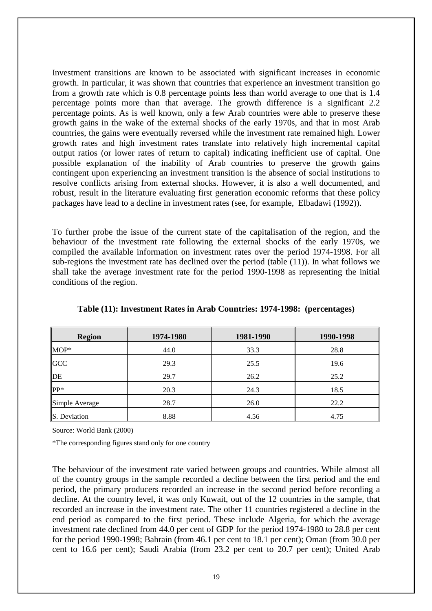Investment transitions are known to be associated with significant increases in economic growth. In particular, it was shown that countries that experience an investment transition go from a growth rate which is 0.8 percentage points less than world average to one that is 1.4 percentage points more than that average. The growth difference is a significant 2.2 percentage points. As is well known, only a few Arab countries were able to preserve these growth gains in the wake of the external shocks of the early 1970s, and that in most Arab countries, the gains were eventually reversed while the investment rate remained high. Lower growth rates and high investment rates translate into relatively high incremental capital output ratios (or lower rates of return to capital) indicating inefficient use of capital. One possible explanation of the inability of Arab countries to preserve the growth gains contingent upon experiencing an investment transition is the absence of social institutions to resolve conflicts arising from external shocks. However, it is also a well documented, and robust, result in the literature evaluating first generation economic reforms that these policy packages have lead to a decline in investment rates (see, for example, Elbadawi (1992)).

To further probe the issue of the current state of the capitalisation of the region, and the behaviour of the investment rate following the external shocks of the early 1970s, we compiled the available information on investment rates over the period 1974-1998. For all sub-regions the investment rate has declined over the period (table (11)). In what follows we shall take the average investment rate for the period 1990-1998 as representing the initial conditions of the region.

| <b>Region</b>  | 1974-1980 | 1981-1990 | 1990-1998 |
|----------------|-----------|-----------|-----------|
| MOP*           | 44.0      | 33.3      | 28.8      |
| <b>GCC</b>     | 29.3      | 25.5      | 19.6      |
| DE             | 29.7      | 26.2      | 25.2      |
| PP*            | 20.3      | 24.3      | 18.5      |
| Simple Average | 28.7      | 26.0      | 22.2      |
| S. Deviation   | 8.88      | 4.56      | 4.75      |

**Table (11): Investment Rates in Arab Countries: 1974-1998: (percentages)** 

Source: World Bank (2000)

\*The corresponding figures stand only for one country

The behaviour of the investment rate varied between groups and countries. While almost all of the country groups in the sample recorded a decline between the first period and the end period, the primary producers recorded an increase in the second period before recording a decline. At the country level, it was only Kuwait, out of the 12 countries in the sample, that recorded an increase in the investment rate. The other 11 countries registered a decline in the end period as compared to the first period. These include Algeria, for which the average investment rate declined from 44.0 per cent of GDP for the period 1974-1980 to 28.8 per cent for the period 1990-1998; Bahrain (from 46.1 per cent to 18.1 per cent); Oman (from 30.0 per cent to 16.6 per cent); Saudi Arabia (from 23.2 per cent to 20.7 per cent); United Arab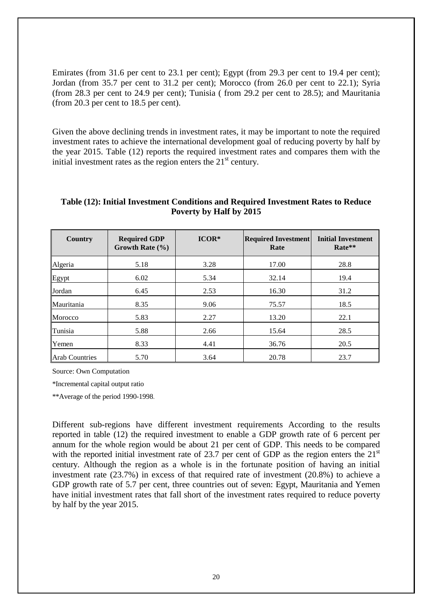Emirates (from 31.6 per cent to 23.1 per cent); Egypt (from 29.3 per cent to 19.4 per cent); Jordan (from 35.7 per cent to 31.2 per cent); Morocco (from 26.0 per cent to 22.1); Syria (from 28.3 per cent to 24.9 per cent); Tunisia ( from 29.2 per cent to 28.5); and Mauritania (from 20.3 per cent to 18.5 per cent).

Given the above declining trends in investment rates, it may be important to note the required investment rates to achieve the international development goal of reducing poverty by half by the year 2015. Table (12) reports the required investment rates and compares them with the initial investment rates as the region enters the  $21<sup>st</sup>$  century.

| Country               | <b>Required GDP</b><br>Growth Rate $(\% )$ | $ICOR*$ | <b>Required Investment</b><br>Rate | <b>Initial Investment</b><br>Rate** |
|-----------------------|--------------------------------------------|---------|------------------------------------|-------------------------------------|
| Algeria               | 5.18                                       | 3.28    | 17.00                              | 28.8                                |
| Egypt                 | 6.02                                       | 5.34    | 32.14                              | 19.4                                |
| Jordan                | 6.45                                       | 2.53    | 16.30                              | 31.2                                |
| Mauritania            | 8.35                                       | 9.06    | 75.57                              | 18.5                                |
| Morocco               | 5.83                                       | 2.27    | 13.20                              | 22.1                                |
| Tunisia               | 5.88                                       | 2.66    | 15.64                              | 28.5                                |
| Yemen                 | 8.33                                       | 4.41    | 36.76                              | 20.5                                |
| <b>Arab Countries</b> | 5.70                                       | 3.64    | 20.78                              | 23.7                                |

### **Table (12): Initial Investment Conditions and Required Investment Rates to Reduce Poverty by Half by 2015**

Source: Own Computation

\*Incremental capital output ratio

\*\*Average of the period 1990-1998.

Different sub-regions have different investment requirements According to the results reported in table (12) the required investment to enable a GDP growth rate of 6 percent per annum for the whole region would be about 21 per cent of GDP. This needs to be compared with the reported initial investment rate of 23.7 per cent of GDP as the region enters the  $21<sup>st</sup>$ century. Although the region as a whole is in the fortunate position of having an initial investment rate (23.7%) in excess of that required rate of investment (20.8%) to achieve a GDP growth rate of 5.7 per cent, three countries out of seven: Egypt, Mauritania and Yemen have initial investment rates that fall short of the investment rates required to reduce poverty by half by the year 2015.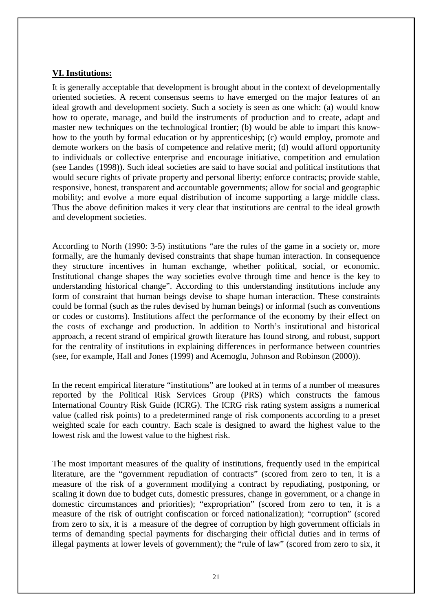#### **VI. Institutions:**

It is generally acceptable that development is brought about in the context of developmentally oriented societies. A recent consensus seems to have emerged on the major features of an ideal growth and development society. Such a society is seen as one which: (a) would know how to operate, manage, and build the instruments of production and to create, adapt and master new techniques on the technological frontier; (b) would be able to impart this knowhow to the youth by formal education or by apprenticeship; (c) would employ, promote and demote workers on the basis of competence and relative merit; (d) would afford opportunity to individuals or collective enterprise and encourage initiative, competition and emulation (see Landes (1998)). Such ideal societies are said to have social and political institutions that would secure rights of private property and personal liberty; enforce contracts; provide stable, responsive, honest, transparent and accountable governments; allow for social and geographic mobility; and evolve a more equal distribution of income supporting a large middle class. Thus the above definition makes it very clear that institutions are central to the ideal growth and development societies.

According to North (1990: 3-5) institutions "are the rules of the game in a society or, more formally, are the humanly devised constraints that shape human interaction. In consequence they structure incentives in human exchange, whether political, social, or economic. Institutional change shapes the way societies evolve through time and hence is the key to understanding historical change". According to this understanding institutions include any form of constraint that human beings devise to shape human interaction. These constraints could be formal (such as the rules devised by human beings) or informal (such as conventions or codes or customs). Institutions affect the performance of the economy by their effect on the costs of exchange and production. In addition to North's institutional and historical approach, a recent strand of empirical growth literature has found strong, and robust, support for the centrality of institutions in explaining differences in performance between countries (see, for example, Hall and Jones (1999) and Acemoglu, Johnson and Robinson (2000)).

In the recent empirical literature "institutions" are looked at in terms of a number of measures reported by the Political Risk Services Group (PRS) which constructs the famous International Country Risk Guide (ICRG). The ICRG risk rating system assigns a numerical value (called risk points) to a predetermined range of risk components according to a preset weighted scale for each country. Each scale is designed to award the highest value to the lowest risk and the lowest value to the highest risk.

The most important measures of the quality of institutions, frequently used in the empirical literature, are the "government repudiation of contracts" (scored from zero to ten, it is a measure of the risk of a government modifying a contract by repudiating, postponing, or scaling it down due to budget cuts, domestic pressures, change in government, or a change in domestic circumstances and priorities); "expropriation" (scored from zero to ten, it is a measure of the risk of outright confiscation or forced nationalization); "corruption" (scored from zero to six, it is a measure of the degree of corruption by high government officials in terms of demanding special payments for discharging their official duties and in terms of illegal payments at lower levels of government); the "rule of law" (scored from zero to six, it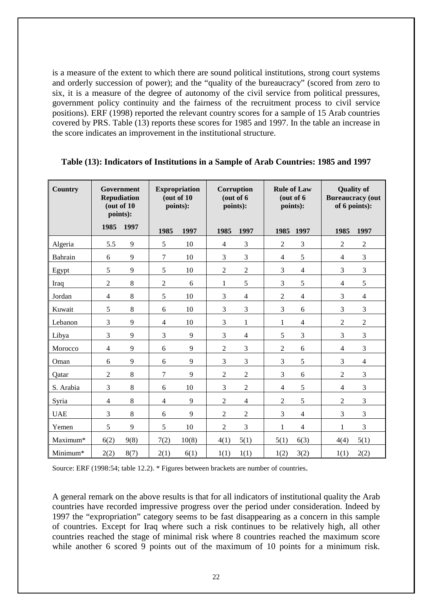is a measure of the extent to which there are sound political institutions, strong court systems and orderly succession of power); and the "quality of the bureaucracy" (scored from zero to six, it is a measure of the degree of autonomy of the civil service from political pressures, government policy continuity and the fairness of the recruitment process to civil service positions). ERF (1998) reported the relevant country scores for a sample of 15 Arab countries covered by PRS. Table (13) reports these scores for 1985 and 1997. In the table an increase in the score indicates an improvement in the institutional structure.

| Country    | Government<br><b>Repudiation</b><br>(out of 10<br>points): |                |                | <b>Expropriation</b><br>(out of 10<br>points): | <b>Corruption</b><br>(out of 6<br>points): |                | <b>Rule of Law</b><br>points): | (out of 6      |                | <b>Quality of</b><br><b>Bureaucracy</b> (out<br>of 6 points): |
|------------|------------------------------------------------------------|----------------|----------------|------------------------------------------------|--------------------------------------------|----------------|--------------------------------|----------------|----------------|---------------------------------------------------------------|
|            | 1985                                                       | 1997           | 1985           | 1997                                           | 1985                                       | 1997           | 1985                           | 1997           | 1985           | 1997                                                          |
| Algeria    | 5.5                                                        | 9              | 5              | 10                                             | $\overline{4}$                             | 3              | $\overline{2}$                 | 3              | $\overline{2}$ | $\overline{2}$                                                |
| Bahrain    | 6                                                          | 9              | $\overline{7}$ | 10                                             | 3                                          | 3              | 4                              | 5              | 4              | 3                                                             |
| Egypt      | 5                                                          | 9              | 5              | 10                                             | $\overline{2}$                             | $\overline{2}$ | 3                              | $\overline{4}$ | 3              | 3                                                             |
| Iraq       | $\overline{2}$                                             | 8              | $\overline{c}$ | 6                                              | $\mathbf{1}$                               | 5              | 3                              | $\sqrt{5}$     | $\overline{4}$ | 5                                                             |
| Jordan     | $\overline{4}$                                             | 8              | 5              | 10                                             | 3                                          | $\overline{4}$ | $\overline{2}$                 | $\overline{4}$ | 3              | $\overline{4}$                                                |
| Kuwait     | 5                                                          | 8              | 6              | 10                                             | 3                                          | 3              | 3                              | 6              | 3              | 3                                                             |
| Lebanon    | 3                                                          | 9              | $\overline{4}$ | 10                                             | 3                                          | $\mathbf{1}$   | $\mathbf 1$                    | $\overline{4}$ | $\overline{2}$ | $\overline{2}$                                                |
| Libya      | 3                                                          | 9              | 3              | 9                                              | 3                                          | $\overline{4}$ | 5                              | $\mathfrak{Z}$ | 3              | 3                                                             |
| Morocco    | $\overline{4}$                                             | 9              | 6              | 9                                              | $\overline{2}$                             | 3              | $\overline{2}$                 | 6              | $\overline{4}$ | 3                                                             |
| Oman       | 6                                                          | $\overline{9}$ | 6              | 9                                              | 3                                          | 3              | 3                              | 5              | 3              | $\overline{4}$                                                |
| Qatar      | $\overline{2}$                                             | 8              | $\tau$         | 9                                              | $\overline{2}$                             | $\overline{2}$ | 3                              | 6              | $\overline{2}$ | 3                                                             |
| S. Arabia  | 3                                                          | 8              | 6              | 10                                             | 3                                          | $\overline{2}$ | 4                              | 5              | $\overline{4}$ | 3                                                             |
| Syria      | $\overline{4}$                                             | 8              | $\overline{4}$ | 9                                              | $\overline{2}$                             | $\overline{4}$ | $\overline{c}$                 | 5              | $\overline{2}$ | 3                                                             |
| <b>UAE</b> | 3                                                          | 8              | 6              | 9                                              | $\overline{2}$                             | $\overline{2}$ | 3                              | $\overline{4}$ | 3              | 3                                                             |
| Yemen      | 5                                                          | 9              | 5              | 10                                             | $\overline{2}$                             | 3              | 1                              | $\overline{4}$ | $\mathbf{1}$   | 3                                                             |
| Maximum*   | 6(2)                                                       | 9(8)           | 7(2)           | 10(8)                                          | 4(1)                                       | 5(1)           | 5(1)                           | 6(3)           | 4(4)           | 5(1)                                                          |
| Minimum*   | 2(2)                                                       | 8(7)           | 2(1)           | 6(1)                                           | 1(1)                                       | 1(1)           | 1(2)                           | 3(2)           | 1(1)           | 2(2)                                                          |

#### **Table (13): Indicators of Institutions in a Sample of Arab Countries: 1985 and 1997**

Source: ERF (1998:54; table 12.2). \* Figures between brackets are number of countries.

A general remark on the above results is that for all indicators of institutional quality the Arab countries have recorded impressive progress over the period under consideration. Indeed by 1997 the "expropriation" category seems to be fast disappearing as a concern in this sample of countries. Except for Iraq where such a risk continues to be relatively high, all other countries reached the stage of minimal risk where 8 countries reached the maximum score while another 6 scored 9 points out of the maximum of 10 points for a minimum risk.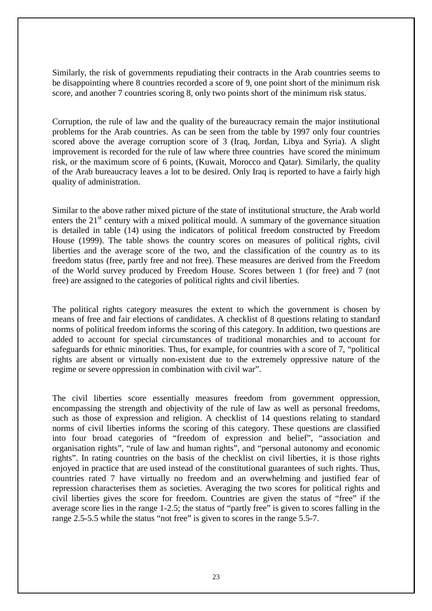Similarly, the risk of governments repudiating their contracts in the Arab countries seems to be disappointing where 8 countries recorded a score of 9, one point short of the minimum risk score, and another 7 countries scoring 8, only two points short of the minimum risk status.

Corruption, the rule of law and the quality of the bureaucracy remain the major institutional problems for the Arab countries. As can be seen from the table by 1997 only four countries scored above the average corruption score of 3 (Iraq, Jordan, Libya and Syria). A slight improvement is recorded for the rule of law where three countries have scored the minimum risk, or the maximum score of 6 points, (Kuwait, Morocco and Qatar). Similarly, the quality of the Arab bureaucracy leaves a lot to be desired. Only Iraq is reported to have a fairly high quality of administration.

Similar to the above rather mixed picture of the state of institutional structure, the Arab world enters the  $21<sup>st</sup>$  century with a mixed political mould. A summary of the governance situation is detailed in table (14) using the indicators of political freedom constructed by Freedom House (1999). The table shows the country scores on measures of political rights, civil liberties and the average score of the two, and the classification of the country as to its freedom status (free, partly free and not free). These measures are derived from the Freedom of the World survey produced by Freedom House. Scores between 1 (for free) and 7 (not free) are assigned to the categories of political rights and civil liberties.

The political rights category measures the extent to which the government is chosen by means of free and fair elections of candidates. A checklist of 8 questions relating to standard norms of political freedom informs the scoring of this category. In addition, two questions are added to account for special circumstances of traditional monarchies and to account for safeguards for ethnic minorities. Thus, for example, for countries with a score of 7, "political rights are absent or virtually non-existent due to the extremely oppressive nature of the regime or severe oppression in combination with civil war".

The civil liberties score essentially measures freedom from government oppression, encompassing the strength and objectivity of the rule of law as well as personal freedoms, such as those of expression and religion. A checklist of 14 questions relating to standard norms of civil liberties informs the scoring of this category. These questions are classified into four broad categories of "freedom of expression and belief", "association and organisation rights", "rule of law and human rights", and "personal autonomy and economic rights". In rating countries on the basis of the checklist on civil liberties, it is those rights enjoyed in practice that are used instead of the constitutional guarantees of such rights. Thus, countries rated 7 have virtually no freedom and an overwhelming and justified fear of repression characterises them as societies. Averaging the two scores for political rights and civil liberties gives the score for freedom. Countries are given the status of "free" if the average score lies in the range 1-2.5; the status of "partly free" is given to scores falling in the range 2.5-5.5 while the status "not free" is given to scores in the range 5.5-7.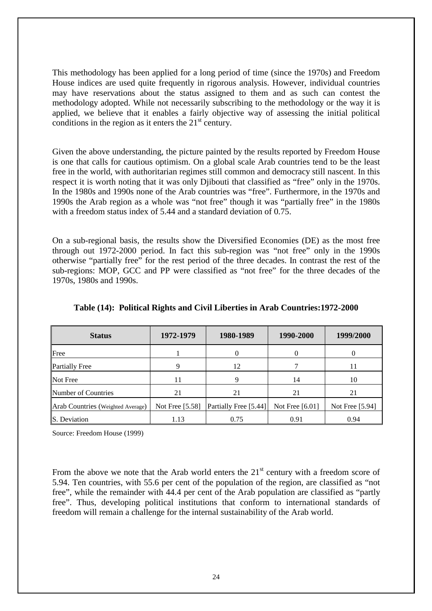This methodology has been applied for a long period of time (since the 1970s) and Freedom House indices are used quite frequently in rigorous analysis. However, individual countries may have reservations about the status assigned to them and as such can contest the methodology adopted. While not necessarily subscribing to the methodology or the way it is applied, we believe that it enables a fairly objective way of assessing the initial political conditions in the region as it enters the  $21<sup>st</sup>$  century.

Given the above understanding, the picture painted by the results reported by Freedom House is one that calls for cautious optimism. On a global scale Arab countries tend to be the least free in the world, with authoritarian regimes still common and democracy still nascent. In this respect it is worth noting that it was only Djibouti that classified as "free" only in the 1970s. In the 1980s and 1990s none of the Arab countries was "free". Furthermore, in the 1970s and 1990s the Arab region as a whole was "not free" though it was "partially free" in the 1980s with a freedom status index of 5.44 and a standard deviation of 0.75.

On a sub-regional basis, the results show the Diversified Economies (DE) as the most free through out 1972-2000 period. In fact this sub-region was "not free" only in the 1990s otherwise "partially free" for the rest period of the three decades. In contrast the rest of the sub-regions: MOP, GCC and PP were classified as "not free" for the three decades of the 1970s, 1980s and 1990s.

| <b>Status</b>                     | 1972-1979       | 1980-1989             | 1990-2000       | 1999/2000       |
|-----------------------------------|-----------------|-----------------------|-----------------|-----------------|
| Free                              |                 |                       |                 |                 |
| <b>Partially Free</b>             | 9               | 12                    |                 |                 |
| Not Free                          | 11              | q                     | 14              | 10              |
| Number of Countries               | 21              | 21                    | 21              | 21              |
| Arab Countries (Weighted Average) | Not Free [5.58] | Partially Free [5.44] | Not Free [6.01] | Not Free [5.94] |
| S. Deviation                      | 1.13            | 0.75                  | 0.91            | 0.94            |

## **Table (14): Political Rights and Civil Liberties in Arab Countries:1972-2000**

Source: Freedom House (1999)

From the above we note that the Arab world enters the  $21<sup>st</sup>$  century with a freedom score of 5.94. Ten countries, with 55.6 per cent of the population of the region, are classified as "not free", while the remainder with 44.4 per cent of the Arab population are classified as "partly free". Thus, developing political institutions that conform to international standards of freedom will remain a challenge for the internal sustainability of the Arab world.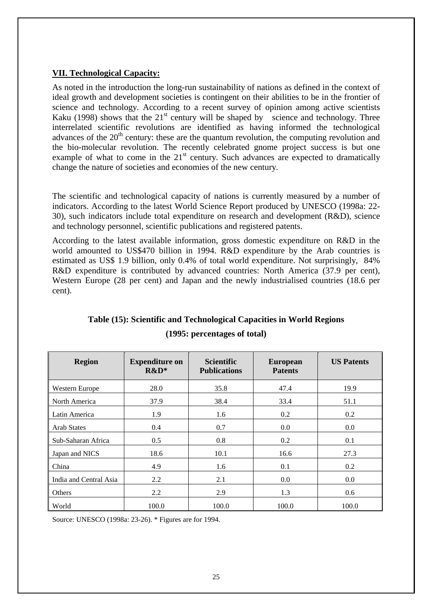## **VII. Technological Capacity:**

As noted in the introduction the long-run sustainability of nations as defined in the context of ideal growth and development societies is contingent on their abilities to be in the frontier of science and technology. According to a recent survey of opinion among active scientists Kaku (1998) shows that the  $21<sup>st</sup>$  century will be shaped by science and technology. Three interrelated scientific revolutions are identified as having informed the technological advances of the  $20<sup>th</sup>$  century: these are the quantum revolution, the computing revolution and the bio-molecular revolution. The recently celebrated gnome project success is but one example of what to come in the  $21<sup>st</sup>$  century. Such advances are expected to dramatically change the nature of societies and economies of the new century.

The scientific and technological capacity of nations is currently measured by a number of indicators. According to the latest World Science Report produced by UNESCO (1998a: 22- 30), such indicators include total expenditure on research and development (R&D), science and technology personnel, scientific publications and registered patents.

According to the latest available information, gross domestic expenditure on R&D in the world amounted to US\$470 billion in 1994. R&D expenditure by the Arab countries is estimated as US\$ 1.9 billion, only 0.4% of total world expenditure. Not surprisingly, 84% R&D expenditure is contributed by advanced countries: North America (37.9 per cent), Western Europe (28 per cent) and Japan and the newly industrialised countries (18.6 per cent).

| <b>Region</b>          | <b>Expenditure on</b><br>$R&D^*$ | <b>Scientific</b><br><b>Publications</b> | <b>European</b><br><b>Patents</b> | <b>US Patents</b> |
|------------------------|----------------------------------|------------------------------------------|-----------------------------------|-------------------|
| Western Europe         | 28.0                             | 35.8                                     | 47.4                              | 19.9              |
| North America          | 37.9                             | 38.4                                     | 33.4                              | 51.1              |
| Latin America          | 1.9                              | 1.6                                      | 0.2                               | 0.2               |
| <b>Arab States</b>     | 0.4                              | 0.7                                      | 0.0                               | 0.0               |
| Sub-Saharan Africa     | 0.5                              | 0.8                                      | 0.2                               | 0.1               |
| Japan and NICS         | 18.6                             | 10.1                                     | 16.6                              | 27.3              |
| China                  | 4.9                              | 1.6                                      | 0.1                               | 0.2               |
| India and Central Asia | 2.2                              | 2.1                                      | 0.0                               | 0.0               |
| Others                 | 2.2                              | 2.9                                      | 1.3                               | 0.6               |
| World                  | 100.0                            | 100.0                                    | 100.0                             | 100.0             |

## **Table (15): Scientific and Technological Capacities in World Regions (1995: percentages of total)**

Source: UNESCO (1998a: 23-26). \* Figures are for 1994.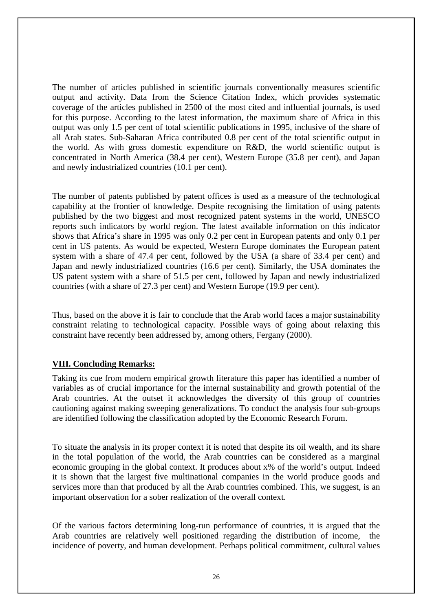The number of articles published in scientific journals conventionally measures scientific output and activity. Data from the Science Citation Index, which provides systematic coverage of the articles published in 2500 of the most cited and influential journals, is used for this purpose. According to the latest information, the maximum share of Africa in this output was only 1.5 per cent of total scientific publications in 1995, inclusive of the share of all Arab states. Sub-Saharan Africa contributed 0.8 per cent of the total scientific output in the world. As with gross domestic expenditure on R&D, the world scientific output is concentrated in North America (38.4 per cent), Western Europe (35.8 per cent), and Japan and newly industrialized countries (10.1 per cent).

The number of patents published by patent offices is used as a measure of the technological capability at the frontier of knowledge. Despite recognising the limitation of using patents published by the two biggest and most recognized patent systems in the world, UNESCO reports such indicators by world region. The latest available information on this indicator shows that Africa's share in 1995 was only 0.2 per cent in European patents and only 0.1 per cent in US patents. As would be expected, Western Europe dominates the European patent system with a share of 47.4 per cent, followed by the USA (a share of 33.4 per cent) and Japan and newly industrialized countries (16.6 per cent). Similarly, the USA dominates the US patent system with a share of 51.5 per cent, followed by Japan and newly industrialized countries (with a share of 27.3 per cent) and Western Europe (19.9 per cent).

Thus, based on the above it is fair to conclude that the Arab world faces a major sustainability constraint relating to technological capacity. Possible ways of going about relaxing this constraint have recently been addressed by, among others, Fergany (2000).

## **VIII. Concluding Remarks:**

Taking its cue from modern empirical growth literature this paper has identified a number of variables as of crucial importance for the internal sustainability and growth potential of the Arab countries. At the outset it acknowledges the diversity of this group of countries cautioning against making sweeping generalizations. To conduct the analysis four sub-groups are identified following the classification adopted by the Economic Research Forum.

To situate the analysis in its proper context it is noted that despite its oil wealth, and its share in the total population of the world, the Arab countries can be considered as a marginal economic grouping in the global context. It produces about x% of the world's output. Indeed it is shown that the largest five multinational companies in the world produce goods and services more than that produced by all the Arab countries combined. This, we suggest, is an important observation for a sober realization of the overall context.

Of the various factors determining long-run performance of countries, it is argued that the Arab countries are relatively well positioned regarding the distribution of income, the incidence of poverty, and human development. Perhaps political commitment, cultural values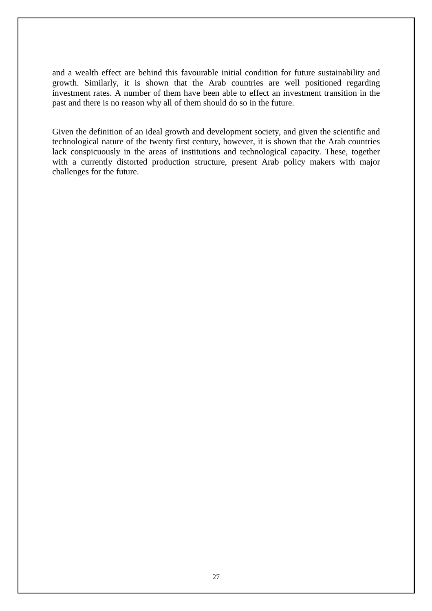and a wealth effect are behind this favourable initial condition for future sustainability and growth. Similarly, it is shown that the Arab countries are well positioned regarding investment rates. A number of them have been able to effect an investment transition in the past and there is no reason why all of them should do so in the future.

Given the definition of an ideal growth and development society, and given the scientific and technological nature of the twenty first century, however, it is shown that the Arab countries lack conspicuously in the areas of institutions and technological capacity. These, together with a currently distorted production structure, present Arab policy makers with major challenges for the future.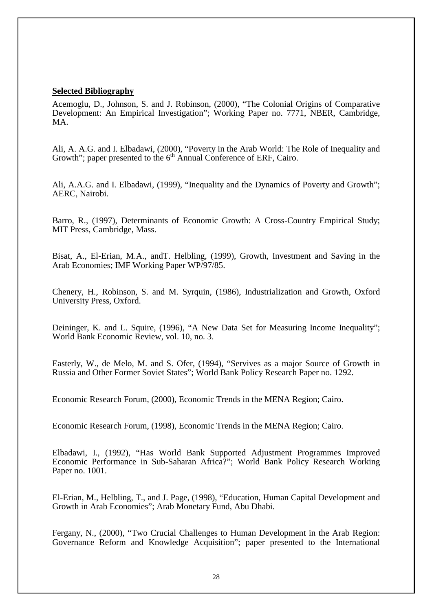#### **Selected Bibliography**

Acemoglu, D., Johnson, S. and J. Robinson, (2000), "The Colonial Origins of Comparative Development: An Empirical Investigation"; Working Paper no. 7771, NBER, Cambridge, MA.

Ali, A. A.G. and I. Elbadawi, (2000), "Poverty in the Arab World: The Role of Inequality and Growth"; paper presented to the  $6<sup>th</sup>$  Annual Conference of ERF, Cairo.

Ali, A.A.G. and I. Elbadawi, (1999), "Inequality and the Dynamics of Poverty and Growth"; AERC, Nairobi.

Barro, R., (1997), Determinants of Economic Growth: A Cross-Country Empirical Study; MIT Press, Cambridge, Mass.

Bisat, A., El-Erian, M.A., andT. Helbling, (1999), Growth, Investment and Saving in the Arab Economies; IMF Working Paper WP/97/85.

Chenery, H., Robinson, S. and M. Syrquin, (1986), Industrialization and Growth, Oxford University Press, Oxford.

Deininger, K. and L. Squire, (1996), "A New Data Set for Measuring Income Inequality"; World Bank Economic Review, vol. 10, no. 3.

Easterly, W., de Melo, M. and S. Ofer, (1994), "Servives as a major Source of Growth in Russia and Other Former Soviet States"; World Bank Policy Research Paper no. 1292.

Economic Research Forum, (2000), Economic Trends in the MENA Region; Cairo.

Economic Research Forum, (1998), Economic Trends in the MENA Region; Cairo.

Elbadawi, I., (1992), "Has World Bank Supported Adjustment Programmes Improved Economic Performance in Sub-Saharan Africa?"; World Bank Policy Research Working Paper no. 1001.

El-Erian, M., Helbling, T., and J. Page, (1998), "Education, Human Capital Development and Growth in Arab Economies"; Arab Monetary Fund, Abu Dhabi.

Fergany, N., (2000), "Two Crucial Challenges to Human Development in the Arab Region: Governance Reform and Knowledge Acquisition"; paper presented to the International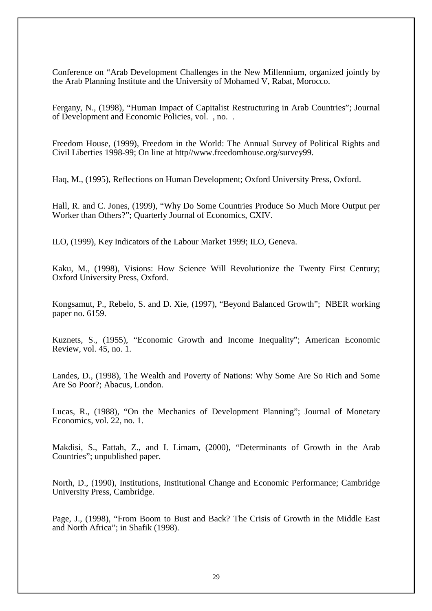Conference on "Arab Development Challenges in the New Millennium, organized jointly by the Arab Planning Institute and the University of Mohamed V, Rabat, Morocco.

Fergany, N., (1998), "Human Impact of Capitalist Restructuring in Arab Countries"; Journal of Development and Economic Policies, vol. , no. .

Freedom House, (1999), Freedom in the World: The Annual Survey of Political Rights and Civil Liberties 1998-99; On line at http//www.freedomhouse.org/survey99.

Haq, M., (1995), Reflections on Human Development; Oxford University Press, Oxford.

Hall, R. and C. Jones, (1999), "Why Do Some Countries Produce So Much More Output per Worker than Others?"; Quarterly Journal of Economics, CXIV.

ILO, (1999), Key Indicators of the Labour Market 1999; ILO, Geneva.

Kaku, M., (1998), Visions: How Science Will Revolutionize the Twenty First Century; Oxford University Press, Oxford.

Kongsamut, P., Rebelo, S. and D. Xie, (1997), "Beyond Balanced Growth"; NBER working paper no. 6159.

Kuznets, S., (1955), "Economic Growth and Income Inequality"; American Economic Review, vol. 45, no. 1.

Landes, D., (1998), The Wealth and Poverty of Nations: Why Some Are So Rich and Some Are So Poor?; Abacus, London.

Lucas, R., (1988), "On the Mechanics of Development Planning"; Journal of Monetary Economics, vol. 22, no. 1.

Makdisi, S., Fattah, Z., and I. Limam, (2000), "Determinants of Growth in the Arab Countries"; unpublished paper.

North, D., (1990), Institutions, Institutional Change and Economic Performance; Cambridge University Press, Cambridge.

Page, J., (1998), "From Boom to Bust and Back? The Crisis of Growth in the Middle East and North Africa"; in Shafik (1998).